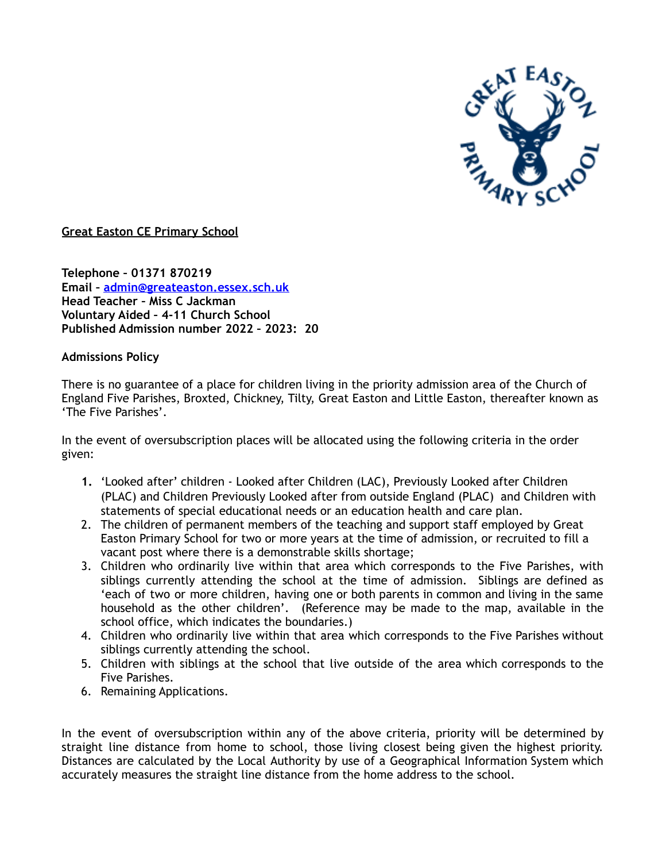

**Great Easton CE Primary School**

**Telephone – 01371 870219 Email – [admin@greateaston.essex.sch.uk](mailto:admin@greateaston.essex.sch.uk) Head Teacher – Miss C Jackman Voluntary Aided – 4-11 Church School Published Admission number 2022 – 2023: 20**

## **Admissions Policy**

There is no guarantee of a place for children living in the priority admission area of the Church of England Five Parishes, Broxted, Chickney, Tilty, Great Easton and Little Easton, thereafter known as 'The Five Parishes'.

In the event of oversubscription places will be allocated using the following criteria in the order given:

- **1.** 'Looked after' children Looked after Children (LAC), Previously Looked after Children (PLAC) and Children Previously Looked after from outside England (PLAC) and Children with statements of special educational needs or an education health and care plan.
- 2. The children of permanent members of the teaching and support staff employed by Great Easton Primary School for two or more years at the time of admission, or recruited to fill a vacant post where there is a demonstrable skills shortage;
- 3. Children who ordinarily live within that area which corresponds to the Five Parishes, with siblings currently attending the school at the time of admission. Siblings are defined as 'each of two or more children, having one or both parents in common and living in the same household as the other children'. (Reference may be made to the map, available in the school office, which indicates the boundaries.)
- 4. Children who ordinarily live within that area which corresponds to the Five Parishes without siblings currently attending the school.
- 5. Children with siblings at the school that live outside of the area which corresponds to the Five Parishes.
- 6. Remaining Applications.

In the event of oversubscription within any of the above criteria, priority will be determined by straight line distance from home to school, those living closest being given the highest priority. Distances are calculated by the Local Authority by use of a Geographical Information System which accurately measures the straight line distance from the home address to the school.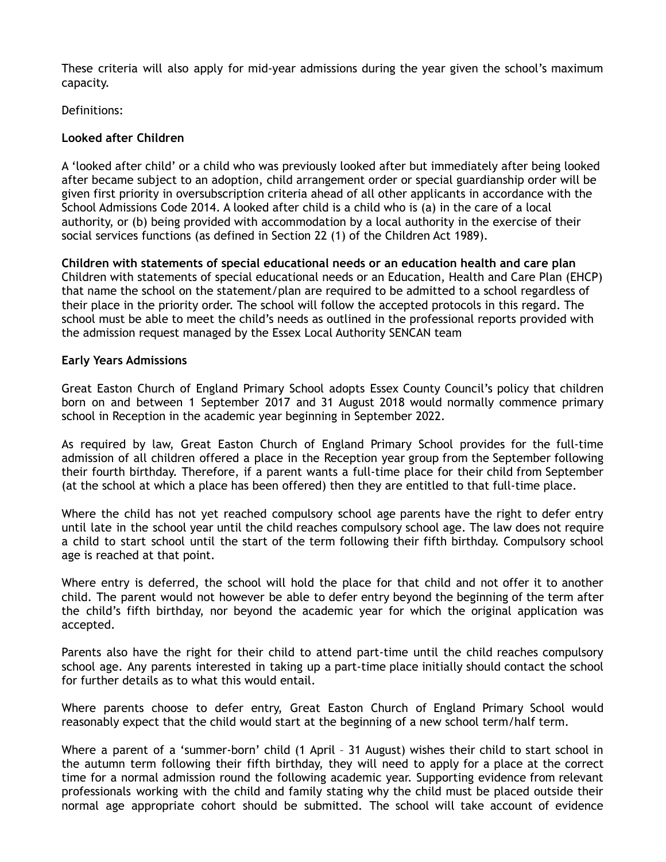These criteria will also apply for mid-year admissions during the year given the school's maximum capacity.

Definitions:

# **Looked after Children**

A 'looked after child' or a child who was previously looked after but immediately after being looked after became subject to an adoption, child arrangement order or special guardianship order will be given first priority in oversubscription criteria ahead of all other applicants in accordance with the School Admissions Code 2014. A looked after child is a child who is (a) in the care of a local authority, or (b) being provided with accommodation by a local authority in the exercise of their social services functions (as defined in Section 22 (1) of the Children Act 1989).

**Children with statements of special educational needs or an education health and care plan** Children with statements of special educational needs or an Education, Health and Care Plan (EHCP) that name the school on the statement/plan are required to be admitted to a school regardless of their place in the priority order. The school will follow the accepted protocols in this regard. The school must be able to meet the child's needs as outlined in the professional reports provided with the admission request managed by the Essex Local Authority SENCAN team

# **Early Years Admissions**

Great Easton Church of England Primary School adopts Essex County Council's policy that children born on and between 1 September 2017 and 31 August 2018 would normally commence primary school in Reception in the academic year beginning in September 2022.

As required by law, Great Easton Church of England Primary School provides for the full-time admission of all children offered a place in the Reception year group from the September following their fourth birthday. Therefore, if a parent wants a full-time place for their child from September (at the school at which a place has been offered) then they are entitled to that full-time place.

Where the child has not yet reached compulsory school age parents have the right to defer entry until late in the school year until the child reaches compulsory school age. The law does not require a child to start school until the start of the term following their fifth birthday. Compulsory school age is reached at that point.

Where entry is deferred, the school will hold the place for that child and not offer it to another child. The parent would not however be able to defer entry beyond the beginning of the term after the child's fifth birthday, nor beyond the academic year for which the original application was accepted.

Parents also have the right for their child to attend part-time until the child reaches compulsory school age. Any parents interested in taking up a part-time place initially should contact the school for further details as to what this would entail.

Where parents choose to defer entry, Great Easton Church of England Primary School would reasonably expect that the child would start at the beginning of a new school term/half term.

Where a parent of a 'summer-born' child (1 April – 31 August) wishes their child to start school in the autumn term following their fifth birthday, they will need to apply for a place at the correct time for a normal admission round the following academic year. Supporting evidence from relevant professionals working with the child and family stating why the child must be placed outside their normal age appropriate cohort should be submitted. The school will take account of evidence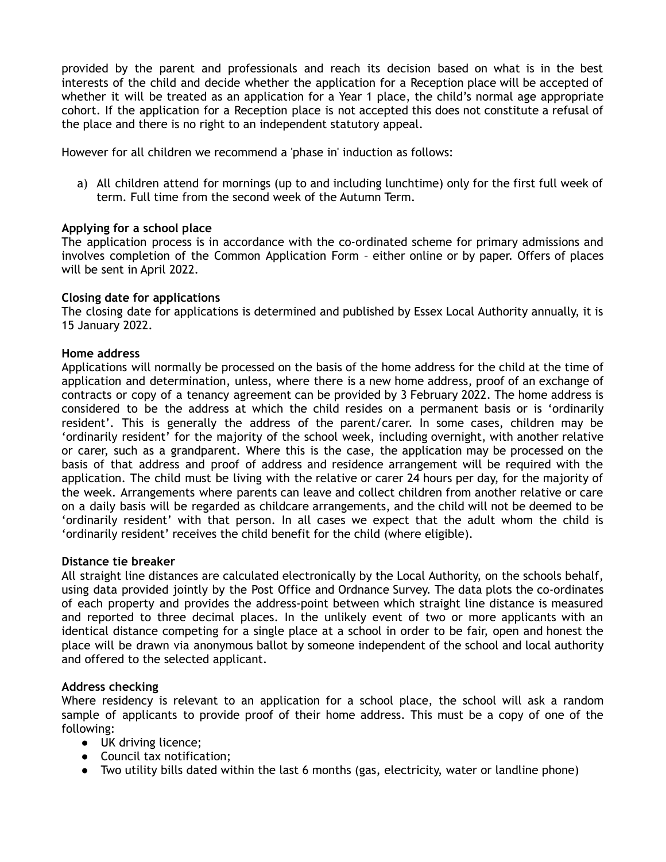provided by the parent and professionals and reach its decision based on what is in the best interests of the child and decide whether the application for a Reception place will be accepted of whether it will be treated as an application for a Year 1 place, the child's normal age appropriate cohort. If the application for a Reception place is not accepted this does not constitute a refusal of the place and there is no right to an independent statutory appeal.

However for all children we recommend a 'phase in' induction as follows:

a) All children attend for mornings (up to and including lunchtime) only for the first full week of term. Full time from the second week of the Autumn Term.

## **Applying for a school place**

The application process is in accordance with the co-ordinated scheme for primary admissions and involves completion of the Common Application Form – either online or by paper. Offers of places will be sent in April 2022.

## **Closing date for applications**

The closing date for applications is determined and published by Essex Local Authority annually, it is 15 January 2022.

## **Home address**

Applications will normally be processed on the basis of the home address for the child at the time of application and determination, unless, where there is a new home address, proof of an exchange of contracts or copy of a tenancy agreement can be provided by 3 February 2022. The home address is considered to be the address at which the child resides on a permanent basis or is 'ordinarily resident'. This is generally the address of the parent/carer. In some cases, children may be 'ordinarily resident' for the majority of the school week, including overnight, with another relative or carer, such as a grandparent. Where this is the case, the application may be processed on the basis of that address and proof of address and residence arrangement will be required with the application. The child must be living with the relative or carer 24 hours per day, for the majority of the week. Arrangements where parents can leave and collect children from another relative or care on a daily basis will be regarded as childcare arrangements, and the child will not be deemed to be 'ordinarily resident' with that person. In all cases we expect that the adult whom the child is 'ordinarily resident' receives the child benefit for the child (where eligible).

## **Distance tie breaker**

All straight line distances are calculated electronically by the Local Authority, on the schools behalf, using data provided jointly by the Post Office and Ordnance Survey. The data plots the co-ordinates of each property and provides the address-point between which straight line distance is measured and reported to three decimal places. In the unlikely event of two or more applicants with an identical distance competing for a single place at a school in order to be fair, open and honest the place will be drawn via anonymous ballot by someone independent of the school and local authority and offered to the selected applicant.

## **Address checking**

Where residency is relevant to an application for a school place, the school will ask a random sample of applicants to provide proof of their home address. This must be a copy of one of the following:

- UK driving licence;
- Council tax notification;
- Two utility bills dated within the last 6 months (gas, electricity, water or landline phone)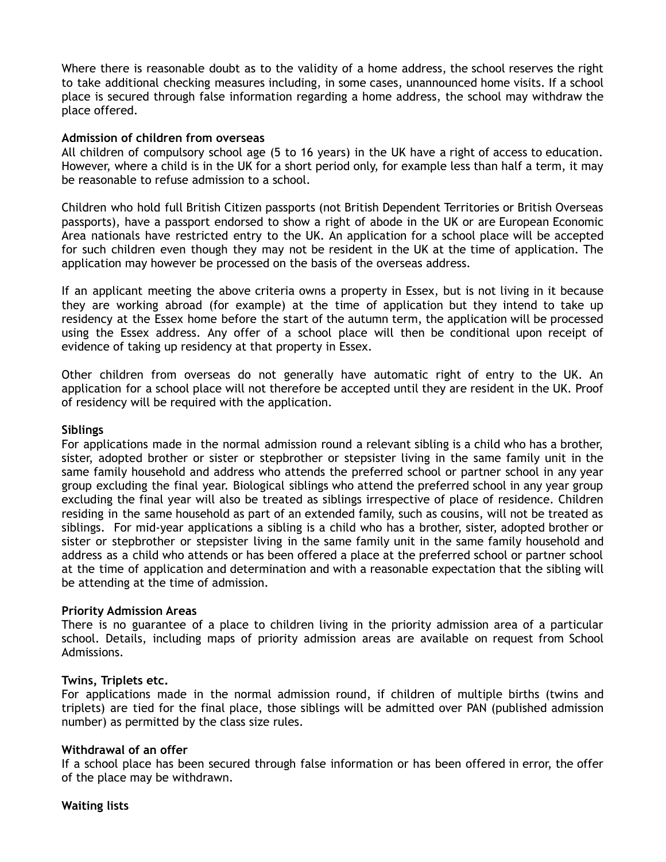Where there is reasonable doubt as to the validity of a home address, the school reserves the right to take additional checking measures including, in some cases, unannounced home visits. If a school place is secured through false information regarding a home address, the school may withdraw the place offered.

### **Admission of children from overseas**

All children of compulsory school age (5 to 16 years) in the UK have a right of access to education. However, where a child is in the UK for a short period only, for example less than half a term, it may be reasonable to refuse admission to a school.

Children who hold full British Citizen passports (not British Dependent Territories or British Overseas passports), have a passport endorsed to show a right of abode in the UK or are European Economic Area nationals have restricted entry to the UK. An application for a school place will be accepted for such children even though they may not be resident in the UK at the time of application. The application may however be processed on the basis of the overseas address.

If an applicant meeting the above criteria owns a property in Essex, but is not living in it because they are working abroad (for example) at the time of application but they intend to take up residency at the Essex home before the start of the autumn term, the application will be processed using the Essex address. Any offer of a school place will then be conditional upon receipt of evidence of taking up residency at that property in Essex.

Other children from overseas do not generally have automatic right of entry to the UK. An application for a school place will not therefore be accepted until they are resident in the UK. Proof of residency will be required with the application.

### **Siblings**

For applications made in the normal admission round a relevant sibling is a child who has a brother, sister, adopted brother or sister or stepbrother or stepsister living in the same family unit in the same family household and address who attends the preferred school or partner school in any year group excluding the final year. Biological siblings who attend the preferred school in any year group excluding the final year will also be treated as siblings irrespective of place of residence. Children residing in the same household as part of an extended family, such as cousins, will not be treated as siblings. For mid-year applications a sibling is a child who has a brother, sister, adopted brother or sister or stepbrother or stepsister living in the same family unit in the same family household and address as a child who attends or has been offered a place at the preferred school or partner school at the time of application and determination and with a reasonable expectation that the sibling will be attending at the time of admission.

#### **Priority Admission Areas**

There is no guarantee of a place to children living in the priority admission area of a particular school. Details, including maps of priority admission areas are available on request from School Admissions.

#### **Twins, Triplets etc.**

For applications made in the normal admission round, if children of multiple births (twins and triplets) are tied for the final place, those siblings will be admitted over PAN (published admission number) as permitted by the class size rules.

## **Withdrawal of an offer**

If a school place has been secured through false information or has been offered in error, the offer of the place may be withdrawn.

**Waiting lists**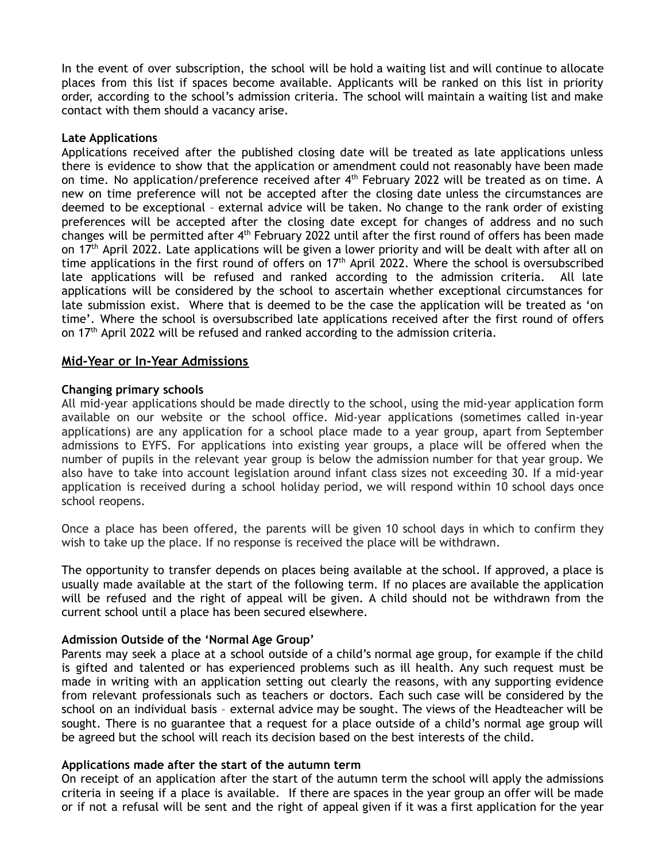In the event of over subscription, the school will be hold a waiting list and will continue to allocate places from this list if spaces become available. Applicants will be ranked on this list in priority order, according to the school's admission criteria. The school will maintain a waiting list and make contact with them should a vacancy arise.

## **Late Applications**

Applications received after the published closing date will be treated as late applications unless there is evidence to show that the application or amendment could not reasonably have been made on time. No application/preference received after 4<sup>th</sup> February 2022 will be treated as on time. A new on time preference will not be accepted after the closing date unless the circumstances are deemed to be exceptional – external advice will be taken. No change to the rank order of existing preferences will be accepted after the closing date except for changes of address and no such changes will be permitted after 4<sup>th</sup> February 2022 until after the first round of offers has been made on 17<sup>th</sup> April 2022. Late applications will be given a lower priority and will be dealt with after all on time applications in the first round of offers on  $17<sup>th</sup>$  April 2022. Where the school is oversubscribed late applications will be refused and ranked according to the admission criteria. All late applications will be considered by the school to ascertain whether exceptional circumstances for late submission exist. Where that is deemed to be the case the application will be treated as 'on time'. Where the school is oversubscribed late applications received after the first round of offers on 17<sup>th</sup> April 2022 will be refused and ranked according to the admission criteria.

# **Mid-Year or In-Year Admissions**

## **Changing primary schools**

All mid-year applications should be made directly to the school, using the mid-year application form available on our website or the school office. Mid-year applications (sometimes called in-year applications) are any application for a school place made to a year group, apart from September admissions to EYFS. For applications into existing year groups, a place will be offered when the number of pupils in the relevant year group is below the admission number for that year group. We also have to take into account legislation around infant class sizes not exceeding 30. If a mid-year application is received during a school holiday period, we will respond within 10 school days once school reopens.

Once a place has been offered, the parents will be given 10 school days in which to confirm they wish to take up the place. If no response is received the place will be withdrawn.

The opportunity to transfer depends on places being available at the school. If approved, a place is usually made available at the start of the following term. If no places are available the application will be refused and the right of appeal will be given. A child should not be withdrawn from the current school until a place has been secured elsewhere.

## **Admission Outside of the 'Normal Age Group'**

Parents may seek a place at a school outside of a child's normal age group, for example if the child is gifted and talented or has experienced problems such as ill health. Any such request must be made in writing with an application setting out clearly the reasons, with any supporting evidence from relevant professionals such as teachers or doctors. Each such case will be considered by the school on an individual basis – external advice may be sought. The views of the Headteacher will be sought. There is no guarantee that a request for a place outside of a child's normal age group will be agreed but the school will reach its decision based on the best interests of the child.

## **Applications made after the start of the autumn term**

On receipt of an application after the start of the autumn term the school will apply the admissions criteria in seeing if a place is available. If there are spaces in the year group an offer will be made or if not a refusal will be sent and the right of appeal given if it was a first application for the year